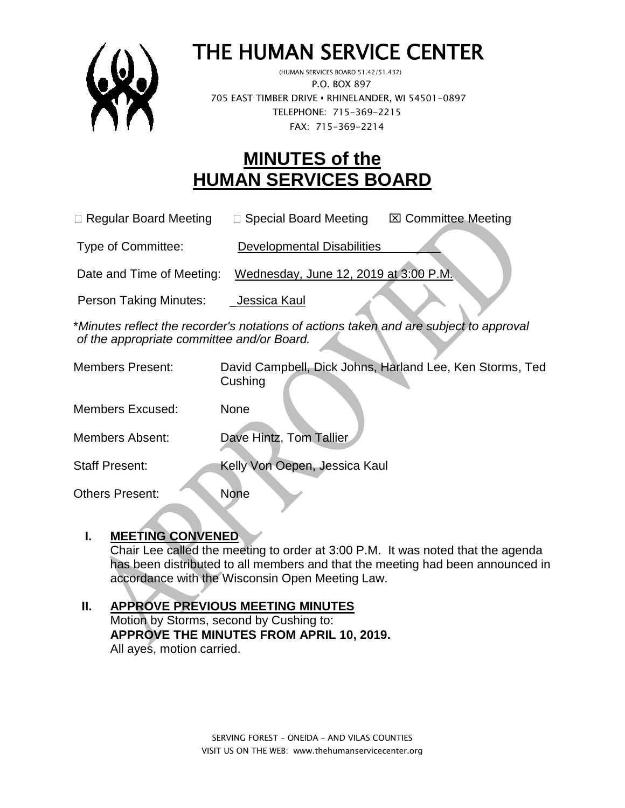

# THE HUMAN SERVICE CENTER

 (HUMAN SERVICES BOARD 51.42/51.437) P.O. BOX 897 705 EAST TIMBER DRIVE **•** RHINELANDER, WI 54501-0897 TELEPHONE: 715-369-2215 FAX: 715-369-2214

# **MINUTES of the HUMAN SERVICES BOARD**

 $\Box$  Regular Board Meeting  $\Box$  Special Board Meeting  $\Box$  Committee Meeting

Type of Committee: Developmental Disabilities

Date and Time of Meeting: Wednesday, June 12, 2019 at 3:00 P.M.

Person Taking Minutes: Jessica Kaul

\**Minutes reflect the recorder's notations of actions taken and are subject to approval of the appropriate committee and/or Board.*

| <b>Members Present:</b> | David Campbell, Dick Johns, Harland Lee, Ken Storms, Ted<br>Cushing |
|-------------------------|---------------------------------------------------------------------|
| <b>Members Excused:</b> | None                                                                |
| <b>Members Absent:</b>  | Dave Hintz, Tom Tallier                                             |
| <b>Staff Present:</b>   | Kelly Von Oepen, Jessica Kaul                                       |
| <b>Others Present:</b>  | <b>None</b>                                                         |

# **I. MEETING CONVENED**

Chair Lee called the meeting to order at 3:00 P.M. It was noted that the agenda has been distributed to all members and that the meeting had been announced in accordance with the Wisconsin Open Meeting Law.

# **II. APPROVE PREVIOUS MEETING MINUTES**  Motion by Storms, second by Cushing to:

**APPROVE THE MINUTES FROM APRIL 10, 2019.** All ayes, motion carried.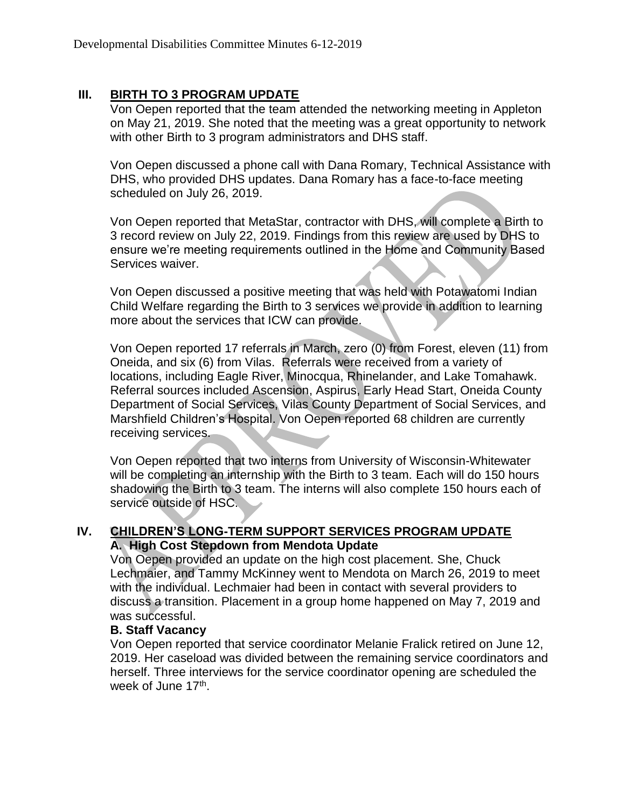## **III. BIRTH TO 3 PROGRAM UPDATE**

Von Oepen reported that the team attended the networking meeting in Appleton on May 21, 2019. She noted that the meeting was a great opportunity to network with other Birth to 3 program administrators and DHS staff.

Von Oepen discussed a phone call with Dana Romary, Technical Assistance with DHS, who provided DHS updates. Dana Romary has a face-to-face meeting scheduled on July 26, 2019.

Von Oepen reported that MetaStar, contractor with DHS, will complete a Birth to 3 record review on July 22, 2019. Findings from this review are used by DHS to ensure we're meeting requirements outlined in the Home and Community Based Services waiver.

Von Oepen discussed a positive meeting that was held with Potawatomi Indian Child Welfare regarding the Birth to 3 services we provide in addition to learning more about the services that ICW can provide.

Von Oepen reported 17 referrals in March, zero (0) from Forest, eleven (11) from Oneida, and six (6) from Vilas. Referrals were received from a variety of locations, including Eagle River, Minocqua, Rhinelander, and Lake Tomahawk. Referral sources included Ascension, Aspirus, Early Head Start, Oneida County Department of Social Services, Vilas County Department of Social Services, and Marshfield Children's Hospital. Von Oepen reported 68 children are currently receiving services.

Von Oepen reported that two interns from University of Wisconsin-Whitewater will be completing an internship with the Birth to 3 team. Each will do 150 hours shadowing the Birth to 3 team. The interns will also complete 150 hours each of service outside of HSC.

#### **IV. CHILDREN'S LONG-TERM SUPPORT SERVICES PROGRAM UPDATE A. High Cost Stepdown from Mendota Update**

Von Oepen provided an update on the high cost placement. She, Chuck Lechmaier, and Tammy McKinney went to Mendota on March 26, 2019 to meet with the individual. Lechmaier had been in contact with several providers to discuss a transition. Placement in a group home happened on May 7, 2019 and was successful.

#### **B. Staff Vacancy**

Von Oepen reported that service coordinator Melanie Fralick retired on June 12, 2019. Her caseload was divided between the remaining service coordinators and herself. Three interviews for the service coordinator opening are scheduled the week of June 17<sup>th</sup>.